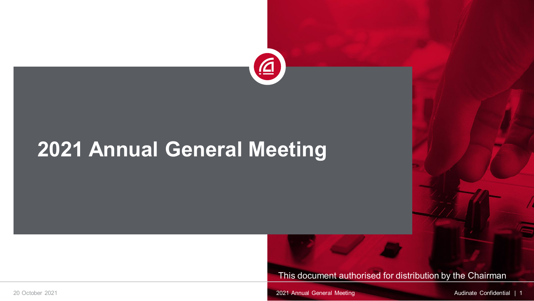

## **2021 Annual General Meeting**

This document authorised for distribution by the Chairman

20 October 2021 2021 Annual General Meeting 2021 Annual General Meeting 2021 Annual General Meeting Audinate Confidential | 1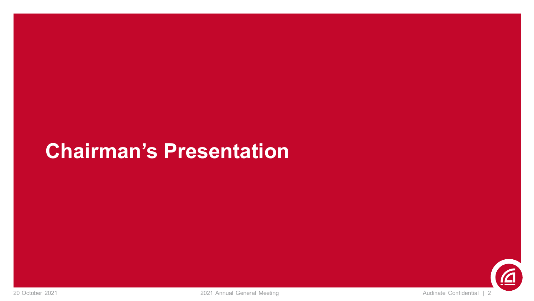### **Chairman's Presentation**

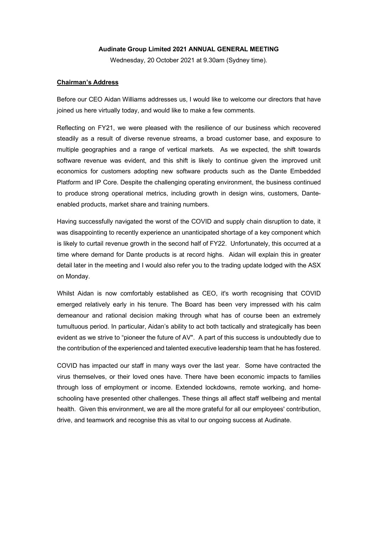### **Audinate Group Limited 2021 ANNUAL GENERAL MEETING**

Wednesday, 20 October 2021 at 9.30am (Sydney time).

### **Chairman's Address**

Before our CEO Aidan Williams addresses us, I would like to welcome our directors that have joined us here virtually today, and would like to make a few comments.

Reflecting on FY21, we were pleased with the resilience of our business which recovered steadily as a result of diverse revenue streams, a broad customer base, and exposure to multiple geographies and a range of vertical markets. As we expected, the shift towards software revenue was evident, and this shift is likely to continue given the improved unit economics for customers adopting new software products such as the Dante Embedded Platform and IP Core. Despite the challenging operating environment, the business continued to produce strong operational metrics, including growth in design wins, customers, Danteenabled products, market share and training numbers.

Having successfully navigated the worst of the COVID and supply chain disruption to date, it was disappointing to recently experience an unanticipated shortage of a key component which is likely to curtail revenue growth in the second half of FY22. Unfortunately, this occurred at a time where demand for Dante products is at record highs. Aidan will explain this in greater detail later in the meeting and I would also refer you to the trading update lodged with the ASX on Monday.

Whilst Aidan is now comfortably established as CEO, it's worth recognising that COVID emerged relatively early in his tenure. The Board has been very impressed with his calm demeanour and rational decision making through what has of course been an extremely tumultuous period. In particular, Aidan's ability to act both tactically and strategically has been evident as we strive to "pioneer the future of AV". A part of this success is undoubtedly due to the contribution of the experienced and talented executive leadership team that he has fostered.

COVID has impacted our staff in many ways over the last year. Some have contracted the virus themselves, or their loved ones have. There have been economic impacts to families through loss of employment or income. Extended lockdowns, remote working, and homeschooling have presented other challenges. These things all affect staff wellbeing and mental health. Given this environment, we are all the more grateful for all our employees' contribution, drive, and teamwork and recognise this as vital to our ongoing success at Audinate.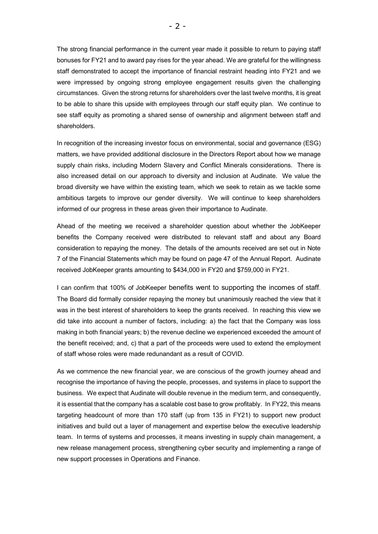The strong financial performance in the current year made it possible to return to paying staff bonuses for FY21 and to award pay rises for the year ahead. We are grateful for the willingness staff demonstrated to accept the importance of financial restraint heading into FY21 and we were impressed by ongoing strong employee engagement results given the challenging circumstances. Given the strong returns for shareholders over the last twelve months, it is great to be able to share this upside with employees through our staff equity plan. We continue to see staff equity as promoting a shared sense of ownership and alignment between staff and shareholders.

In recognition of the increasing investor focus on environmental, social and governance (ESG) matters, we have provided additional disclosure in the Directors Report about how we manage supply chain risks, including Modern Slavery and Conflict Minerals considerations. There is also increased detail on our approach to diversity and inclusion at Audinate. We value the broad diversity we have within the existing team, which we seek to retain as we tackle some ambitious targets to improve our gender diversity. We will continue to keep shareholders informed of our progress in these areas given their importance to Audinate.

Ahead of the meeting we received a shareholder question about whether the JobKeeper benefits the Company received were distributed to relevant staff and about any Board consideration to repaying the money. The details of the amounts received are set out in Note 7 of the Financial Statements which may be found on page 47 of the Annual Report. Audinate received JobKeeper grants amounting to \$434,000 in FY20 and \$759,000 in FY21.

I can confirm that 100% of JobKeeper benefits went to supporting the incomes of staff. The Board did formally consider repaying the money but unanimously reached the view that it was in the best interest of shareholders to keep the grants received. In reaching this view we did take into account a number of factors, including: a) the fact that the Company was loss making in both financial years; b) the revenue decline we experienced exceeded the amount of the benefit received; and, c) that a part of the proceeds were used to extend the employment of staff whose roles were made redunandant as a result of COVID.

As we commence the new financial year, we are conscious of the growth journey ahead and recognise the importance of having the people, processes, and systems in place to support the business. We expect that Audinate will double revenue in the medium term, and consequently, it is essential that the company has a scalable cost base to grow profitably. In FY22, this means targeting headcount of more than 170 staff (up from 135 in FY21) to support new product initiatives and build out a layer of management and expertise below the executive leadership team. In terms of systems and processes, it means investing in supply chain management, a new release management process, strengthening cyber security and implementing a range of new support processes in Operations and Finance.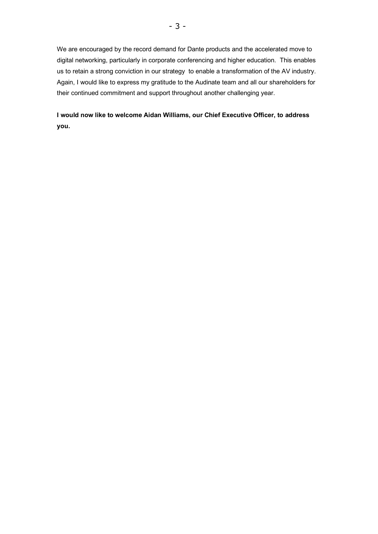We are encouraged by the record demand for Dante products and the accelerated move to digital networking, particularly in corporate conferencing and higher education. This enables us to retain a strong conviction in our strategy to enable a transformation of the AV industry. Again, I would like to express my gratitude to the Audinate team and all our shareholders for their continued commitment and support throughout another challenging year.

**I would now like to welcome Aidan Williams, our Chief Executive Officer, to address you.**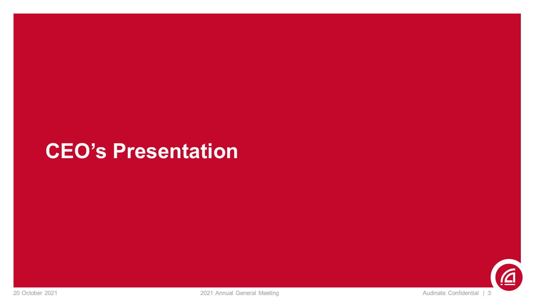### **CEO's Presentation**

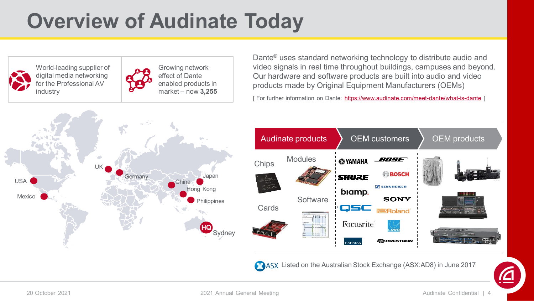# **Overview of Audinate Today**

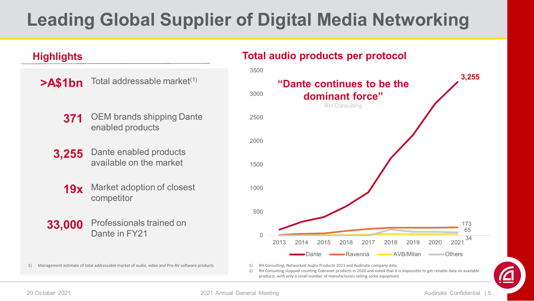### **Leading Global Supplier of Digital Media Networking**

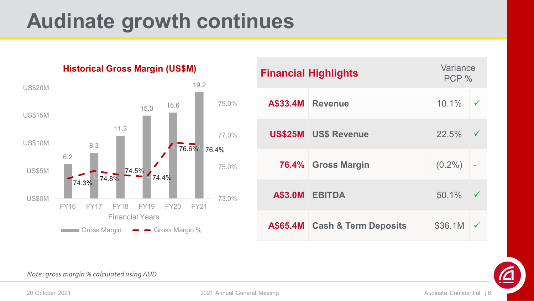## **Audinate growth continues**



**Historical Gross Margin (US\$M)**

| <b>Financial Highlights</b> |                               | Variance<br>PCP % |              |
|-----------------------------|-------------------------------|-------------------|--------------|
| A\$33.4M                    | <b>Revenue</b>                | $10.1\%$          | ✓            |
|                             | <b>US\$25M US\$ Revenue</b>   | 22.5%             |              |
|                             | 76.4% Gross Margin            | $(0.2\%)$         | Ĭ,           |
|                             | A\$3.0M EBITDA                | 50.1%             |              |
|                             | A\$65.4M Cash & Term Deposits | \$36.1M           | $\checkmark$ |



*Note: gross margin % calculated using AUD*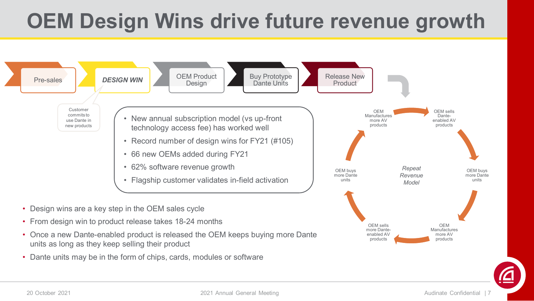# **OEM Design Wins drive future revenue growth**



- Design wins are a key step in the OEM sales cycle
- From design win to product release takes 18-24 months
- Once a new Dante-enabled product is released the OEM keeps buying more Dante units as long as they keep selling their product
- Dante units may be in the form of chips, cards, modules or software



OEM sells more Danteenabled AV products

OEM Manufactures more AV products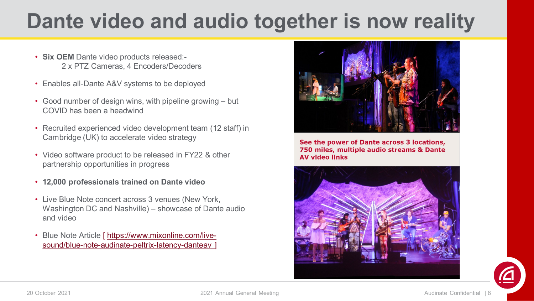# **Dante video and audio together is now reality**

- **Six OEM** Dante video products released:- 2 x PTZ Cameras, 4 Encoders/Decoders
- Enables all-Dante A&V systems to be deployed
- Good number of design wins, with pipeline growing but COVID has been a headwind
- Recruited experienced video development team (12 staff) in Cambridge (UK) to accelerate video strategy
- Video software product to be released in FY22 & other partnership opportunities in progress
- **12,000 professionals trained on Dante video**
- Live Blue Note concert across 3 venues (New York, Washington DC and Nashville) – showcase of Dante audio and video
- Blue Note Article [ https://www.mixonline.com/livesound/blue-note-audinate-peltrix-latency-danteav



See the power of Dante across 3 locations, 750 miles, multiple audio streams & Dante **AV video links** 

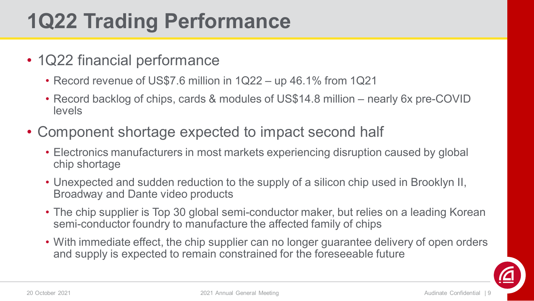# **1Q22 Trading Performance**

- 1Q22 financial performance
	- Record revenue of US\$7.6 million in 1Q22 up 46.1% from 1Q21
	- Record backlog of chips, cards & modules of US\$14.8 million nearly 6x pre-COVID levels
- Component shortage expected to impact second half
	- Electronics manufacturers in most markets experiencing disruption caused by global chip shortage
	- Unexpected and sudden reduction to the supply of a silicon chip used in Brooklyn II, Broadway and Dante video products
	- The chip supplier is Top 30 global semi-conductor maker, but relies on a leading Korean semi-conductor foundry to manufacture the affected family of chips
	- With immediate effect, the chip supplier can no longer guarantee delivery of open orders and supply is expected to remain constrained for the foreseeable future

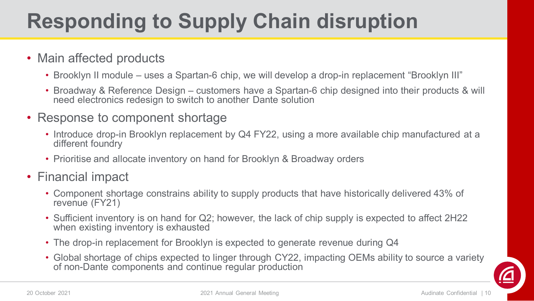# **Responding to Supply Chain disruption**

### • Main affected products

- Brooklyn II module uses a Spartan-6 chip, we will develop a drop-in replacement "Brooklyn III"
- Broadway & Reference Design customers have a Spartan-6 chip designed into their products & will need electronics redesign to switch to another Dante solution
- Response to component shortage
	- Introduce drop-in Brooklyn replacement by Q4 FY22, using a more available chip manufactured at a different foundry
	- Prioritise and allocate inventory on hand for Brooklyn & Broadway orders
- Financial impact
	- Component shortage constrains ability to supply products that have historically delivered 43% of revenue (FY21)
	- Sufficient inventory is on hand for Q2; however, the lack of chip supply is expected to affect 2H22 when existing inventory is exhausted
	- The drop-in replacement for Brooklyn is expected to generate revenue during Q4
	- Global shortage of chips expected to linger through CY22, impacting OEMs ability to source a variety of non-Dante components and continue regular production

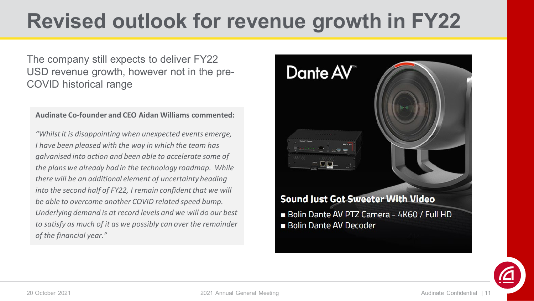# **Revised outlook for revenue growth in FY22**

The company still expects to deliver FY22 USD revenue growth, however not in the pre-COVID historical range

### **Audinate Co-founder and CEO Aidan Williams commented:**

*"Whilst it is disappointing when unexpected events emerge, I have been pleased with the way in which the team has galvanised into action and been able to accelerate some of the plans we already had in the technology roadmap. While there will be an additional element of uncertainty heading into the second half of FY22, I remain confident that we will be able to overcome another COVID related speed bump. Underlying demand is at record levels and we will do our best to satisfy as much of it as we possibly can over the remainder of the financial year."*